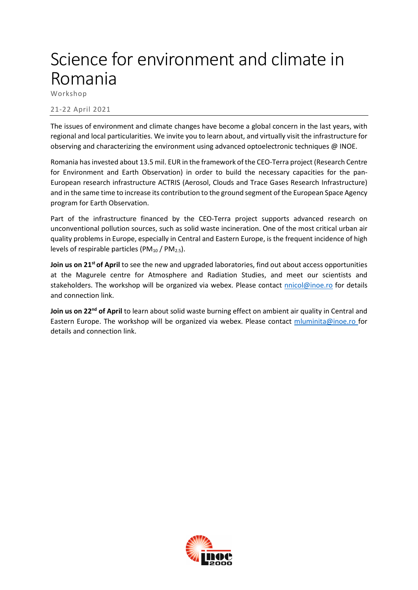## Science for environment and climate in Romania

Workshop

## 21-22 April 2021

The issues of environment and climate changes have become a global concern in the last years, with regional and local particularities. We invite you to learn about, and virtually visit the infrastructure for observing and characterizing the environment using advanced optoelectronic techniques @ INOE.

Romania has invested about 13.5 mil. EUR in the framework of the CEO-Terra project (Research Centre for Environment and Earth Observation) in order to build the necessary capacities for the pan-European research infrastructure ACTRIS (Aerosol, Clouds and Trace Gases Research Infrastructure) and in the same time to increase its contribution to the ground segment of the European Space Agency program for Earth Observation.

Part of the infrastructure financed by the CEO-Terra project supports advanced research on unconventional pollution sources, such as solid waste incineration. One of the most critical urban air quality problems in Europe, especially in Central and Eastern Europe, is the frequent incidence of high levels of respirable particles ( $PM_{10}$  /  $PM_{2.5}$ ).

**Join us on 21<sup>st</sup> of April** to see the new and upgraded laboratories, find out about access opportunities at the Magurele centre for Atmosphere and Radiation Studies, and meet our scientists and stakeholders. The workshop will be organized via webex. Please contact [nnicol@inoe.ro](mailto:nnicol@inoe.ro) for details and connection link.

Join us on 22<sup>nd</sup> of April to learn about solid waste burning effect on ambient air quality in Central and Eastern Europe. The workshop will be organized via webex. Please contact [mluminita@inoe.ro](mailto:mluminita@inoe.ro) for details and connection link.

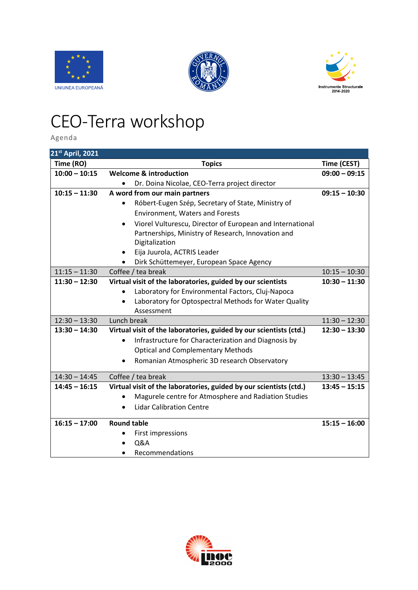





## CEO-Terra workshop

Agenda

| 21st April, 2021 |                                                                    |                 |
|------------------|--------------------------------------------------------------------|-----------------|
| Time (RO)        | <b>Topics</b>                                                      | Time (CEST)     |
| $10:00 - 10:15$  | <b>Welcome &amp; introduction</b>                                  | $09:00 - 09:15$ |
|                  | Dr. Doina Nicolae, CEO-Terra project director<br>$\bullet$         |                 |
| $10:15 - 11:30$  | A word from our main partners                                      | $09:15 - 10:30$ |
|                  | Róbert-Eugen Szép, Secretary of State, Ministry of                 |                 |
|                  | <b>Environment, Waters and Forests</b>                             |                 |
|                  | Viorel Vulturescu, Director of European and International          |                 |
|                  | Partnerships, Ministry of Research, Innovation and                 |                 |
|                  | Digitalization                                                     |                 |
|                  | Eija Juurola, ACTRIS Leader                                        |                 |
|                  | Dirk Schüttemeyer, European Space Agency                           |                 |
| $11:15 - 11:30$  | Coffee / tea break                                                 | $10:15 - 10:30$ |
| $11:30 - 12:30$  | Virtual visit of the laboratories, guided by our scientists        | $10:30 - 11:30$ |
|                  | Laboratory for Environmental Factors, Cluj-Napoca                  |                 |
|                  | Laboratory for Optospectral Methods for Water Quality              |                 |
|                  | Assessment                                                         |                 |
| $12:30 - 13:30$  | Lunch break                                                        | $11:30 - 12:30$ |
| $13:30 - 14:30$  | Virtual visit of the laboratories, guided by our scientists (ctd.) | $12:30 - 13:30$ |
|                  | Infrastructure for Characterization and Diagnosis by<br>$\bullet$  |                 |
|                  | <b>Optical and Complementary Methods</b>                           |                 |
|                  | Romanian Atmospheric 3D research Observatory                       |                 |
| $14:30 - 14:45$  | Coffee / tea break                                                 | $13:30 - 13:45$ |
| $14:45 - 16:15$  | Virtual visit of the laboratories, guided by our scientists (ctd.) | $13:45 - 15:15$ |
|                  | Magurele centre for Atmosphere and Radiation Studies               |                 |
|                  | <b>Lidar Calibration Centre</b>                                    |                 |
| $16:15 - 17:00$  | <b>Round table</b>                                                 | $15:15 - 16:00$ |
|                  | First impressions                                                  |                 |
|                  | <b>Q&amp;A</b>                                                     |                 |
|                  | Recommendations                                                    |                 |

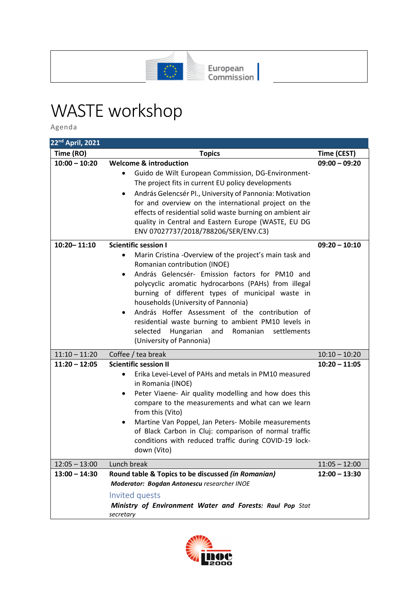

## WASTE workshop

Agenda

| 22 <sup>nd</sup> April, 2021 |                                                                                                                                                                                                                                                                                                                                                                                                                                                                                                                                                                       |                 |
|------------------------------|-----------------------------------------------------------------------------------------------------------------------------------------------------------------------------------------------------------------------------------------------------------------------------------------------------------------------------------------------------------------------------------------------------------------------------------------------------------------------------------------------------------------------------------------------------------------------|-----------------|
| Time (RO)                    | <b>Topics</b>                                                                                                                                                                                                                                                                                                                                                                                                                                                                                                                                                         | Time (CEST)     |
| $10:00 - 10:20$              | <b>Welcome &amp; introduction</b><br>Guido de Wilt European Commission, DG-Environment-<br>The project fits in current EU policy developments<br>András Gelencsér PI., University of Pannonia: Motivation<br>$\bullet$<br>for and overview on the international project on the<br>effects of residential solid waste burning on ambient air<br>quality in Central and Eastern Europe (WASTE, EU DG<br>ENV 07027737/2018/788206/SER/ENV.C3)                                                                                                                            | $09:00 - 09:20$ |
| 10:20 - 11:10                | <b>Scientific session I</b><br>Marin Cristina - Overview of the project's main task and<br>$\bullet$<br>Romanian contribution (INOE)<br>András Gelencsér- Emission factors for PM10 and<br>$\bullet$<br>polycyclic aromatic hydrocarbons (PAHs) from illegal<br>burning of different types of municipal waste in<br>households (University of Pannonia)<br>András Hoffer Assessment of the contribution of<br>$\bullet$<br>residential waste burning to ambient PM10 levels in<br>selected<br>Hungarian<br>Romanian<br>and<br>settlements<br>(University of Pannonia) | $09:20 - 10:10$ |
| $11:10 - 11:20$              | Coffee / tea break                                                                                                                                                                                                                                                                                                                                                                                                                                                                                                                                                    | $10:10 - 10:20$ |
| $11:20 - 12:05$              | <b>Scientific session II</b><br>Erika Levei-Level of PAHs and metals in PM10 measured<br>in Romania (INOE)<br>Peter Viaene- Air quality modelling and how does this<br>$\bullet$<br>compare to the measurements and what can we learn<br>from this (Vito)<br>Martine Van Poppel, Jan Peters- Mobile measurements<br>٠<br>of Black Carbon in Cluj: comparison of normal traffic<br>conditions with reduced traffic during COVID-19 lock-<br>down (Vito)                                                                                                                | $10:20 - 11:05$ |
| $12:05 - 13:00$              | Lunch break                                                                                                                                                                                                                                                                                                                                                                                                                                                                                                                                                           | $11:05 - 12:00$ |
| $13:00 - 14:30$              | Round table & Topics to be discussed (in Romanian)<br>Moderator: Bogdan Antonescu researcher INOE<br>Invited quests<br>Ministry of Environment Water and Forests: Raul Pop Stat<br>secretary                                                                                                                                                                                                                                                                                                                                                                          | $12:00 - 13:30$ |